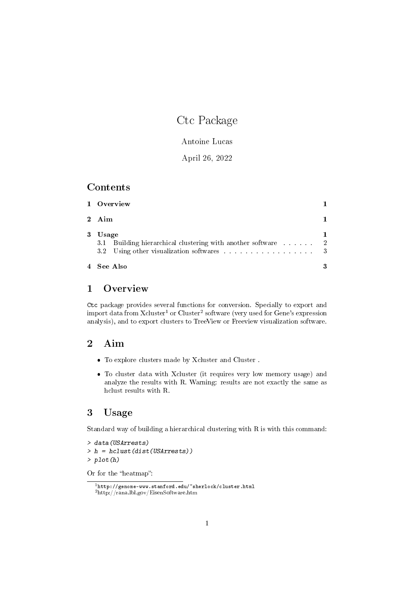# Ctc Package

Antoine Lucas

April 26, 2022

#### Contents

| 4 See Also                                                                                                                                                                                                                            | 3 |
|---------------------------------------------------------------------------------------------------------------------------------------------------------------------------------------------------------------------------------------|---|
| 3.1<br>3.2 Using other visualization softwares excessions of the set of the set of the set of the set of the set of the set of the set of the set of the set of the set of the set of the set of the set of the set of the set of the |   |
| 3 Usage                                                                                                                                                                                                                               |   |
| 2 Aim                                                                                                                                                                                                                                 |   |
| 1 Overview                                                                                                                                                                                                                            |   |

# 1 Overview

Ctc package provides several functions for conversion. Specially to export and import data from Xcluster<sup>1</sup> or Cluster<sup>2</sup> software (very used for Gene's expression analysis), and to export clusters to TreeView or Freeview visualization software.

# 2 Aim

- To explore clusters made by Xcluster and Cluster .
- To cluster data with Xcluster (it requires very low memory usage) and analyze the results with R. Warning: results are not exactly the same as hclust results with R.

### 3 Usage

Standard way of building a hierarchical clustering with R is with this command:

```
> data(USArrests)
> h = hclust(dist(USArrests))
> plot(h)
```
Or for the "heatmap":

<sup>1</sup>http://genome-www.stanford.edu/~sherlock/cluster.html <sup>2</sup>http://rana.lbl.gov/EisenSoftware.htm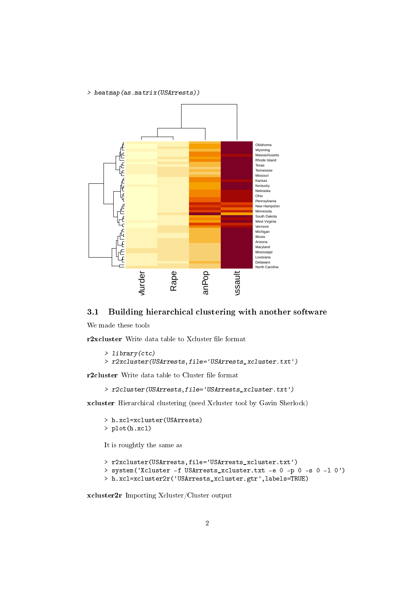#### > heatmap(as.matrix(USArrests))



## 3.1 Building hierarchical clustering with another software

We made these tools

r2xcluster Write data table to Xcluster file format

```
> library(ctc)
> r2xcluster(USArrests,file='USArrests_xcluster.txt')
```
r2cluster Write data table to Cluster file format

> r2cluster(USArrests,file='USArrests\_xcluster.txt')

xcluster Hierarchical clustering (need Xcluster tool by Gavin Sherlock)

```
> h.xcl=xcluster(USArrests)
> plot(h.xcl)
```
It is roughtly the same as

```
> r2xcluster(USArrests,file='USArrests_xcluster.txt')
> system('Xcluster -f USArrests_xcluster.txt -e 0 -p 0 -s 0 -l 0')
> h.xcl=xcluster2r('USArrests_xcluster.gtr',labels=TRUE)
```
xcluster2r Importing Xcluster/Cluster output